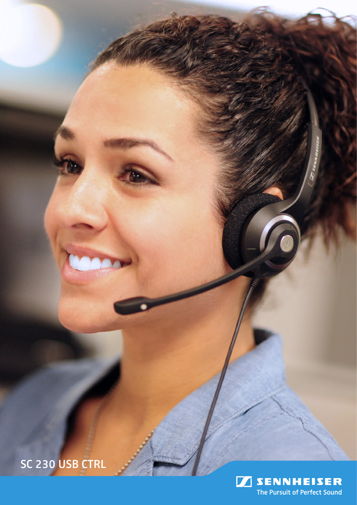SC 230 USB CTRL

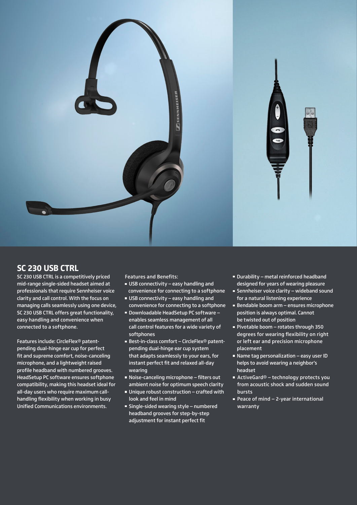

## **SC 230 USB CTRL**

SC 230 USB CTRL is a competitively priced mid-range single-sided headset aimed at professionals that require Sennheiser voice clarity and call control. With the focus on managing calls seamlessly using one device, SC 230 USB CTRL offers great functionality, easy handling and convenience when connected to a softphone.

Features include: CircleFlex® patentpending dual-hinge ear cup for perfect fit and supreme comfort, noise-canceling microphone, and a lightweight raised profile headband with numbered grooves. HeadSetup PC software ensures softphone compatibility, making this headset ideal for all-day users who require maximum callhandling flexibility when working in busy Unified Communications environments.

Features and Benefits:

- $\blacksquare$  USB connectivity easy handling and convenience for connecting to a softphone
- USB connectivity easy handling and convenience for connecting to a softphone
- Downloadable HeadSetup PC software enables seamless management of all call control features for a wide variety of softphones
- Best-in-class comfort CircleFlex<sup>®</sup> patentpending dual-hinge ear cup system that adapts seamlessly to your ears, for instant perfect fit and relaxed all-day wearing
- Noise-canceling microphone filters out ambient noise for optimum speech clarity
- Unique robust construction crafted with look and feel in mind
- Single-sided wearing style numbered headband grooves for step-by-step adjustment for instant perfect fit
- Durability metal reinforced headband designed for years of wearing pleasure
- Sennheiser voice clarity wideband sound for a natural listening experience
- Bendable boom arm ensures microphone position is always optimal. Cannot be twisted out of position
- Pivotable boom rotates through 350 degrees for wearing flexibility on right or left ear and precision microphone placement
- Name tag personalization easy user ID helps to avoid wearing a neighbor's headset
- ActiveGard<sup>®</sup> technology protects you from acoustic shock and sudden sound bursts
- Peace of mind 2-year international warranty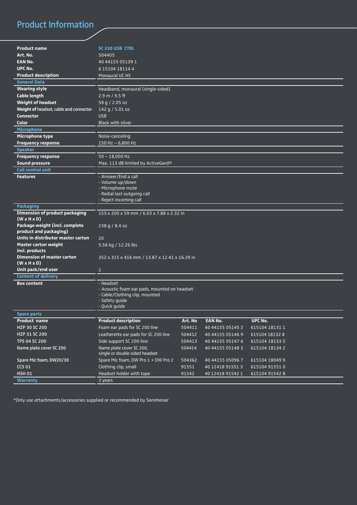## Product Information

| <b>Product name</b>                                              | <b>SC 230 USB CTRL</b>                                     |         |                  |                |  |
|------------------------------------------------------------------|------------------------------------------------------------|---------|------------------|----------------|--|
| Art. No.                                                         | 504405                                                     |         |                  |                |  |
| <b>EAN No.</b>                                                   | 40 44155 05139 1                                           |         |                  |                |  |
| UPC No.                                                          | 6 15104 18114 4                                            |         |                  |                |  |
| <b>Product description</b>                                       | <b>Monaural UC HS</b>                                      |         |                  |                |  |
| <b>General Data</b>                                              |                                                            |         |                  |                |  |
| <b>Wearing style</b>                                             | Headband, monaural (single-sided)                          |         |                  |                |  |
| <b>Cable length</b>                                              | 2.9 m / 9.5 ft                                             |         |                  |                |  |
| <b>Weight of headset</b>                                         | 58 g / 2.05 oz                                             |         |                  |                |  |
| Weight of headset, cable and connector                           | 142 g / 5.01 oz                                            |         |                  |                |  |
| <b>Connector</b>                                                 | <b>USB</b>                                                 |         |                  |                |  |
| Color                                                            | <b>Black with silver</b>                                   |         |                  |                |  |
| Microphone                                                       |                                                            |         |                  |                |  |
| Microphone type                                                  | Noise-canceling                                            |         |                  |                |  |
| <b>Frequency response</b>                                        | $150$ Hz - 6,800 Hz                                        |         |                  |                |  |
| <b>Speaker</b>                                                   |                                                            |         |                  |                |  |
| <b>Frequency response</b>                                        | $50 - 18,000$ Hz                                           |         |                  |                |  |
| <b>Sound pressure</b>                                            | Max. 113 dB limited by ActiveGard®                         |         |                  |                |  |
| <b>Call control unit</b>                                         |                                                            |         |                  |                |  |
| <b>Features</b>                                                  | - Answer/End a call                                        |         |                  |                |  |
|                                                                  | - Volume up/down                                           |         |                  |                |  |
|                                                                  | - Microphone mute                                          |         |                  |                |  |
|                                                                  | - Redial last outgoing call                                |         |                  |                |  |
|                                                                  | - Reject incoming call                                     |         |                  |                |  |
| <b>Packaging</b>                                                 |                                                            |         |                  |                |  |
| <b>Dimension of product packaging</b><br>$(W \times H \times D)$ | 153 x 200 x 59 mm / 6.03 x 7.88 x 2.32 in                  |         |                  |                |  |
| Package weight (incl. complete<br>product and packaging)         | 238 g / 8.4 oz                                             |         |                  |                |  |
| Units in distributor master carton                               | 20                                                         |         |                  |                |  |
| <b>Master carton weight</b>                                      | 5.56 kg / 12.26 lbs                                        |         |                  |                |  |
| incl. products                                                   |                                                            |         |                  |                |  |
| <b>Dimension of master carton</b><br>$(W \times H \times D)$     | 352 x 315 x 416 mm / 13.87 x 12.41 x 16.39 in              |         |                  |                |  |
| Unit pack/end user                                               | $\mathbf{1}$                                               |         |                  |                |  |
| <b>Content of delivery</b>                                       |                                                            |         |                  |                |  |
| <b>Box content</b>                                               | - Headset                                                  |         |                  |                |  |
|                                                                  | - Acoustic foam ear pads, mounted on headset               |         |                  |                |  |
|                                                                  | - Cable/Clothing clip, mounted                             |         |                  |                |  |
|                                                                  | - Safety quide                                             |         |                  |                |  |
|                                                                  | - Quick guide                                              |         |                  |                |  |
| <b>Spare parts</b>                                               |                                                            |         |                  |                |  |
| <b>Product name</b>                                              | <b>Product description</b>                                 | Art. No | <b>EAN No.</b>   | UPC No.        |  |
| HZP 30 SC 200                                                    | Foam ear pads for SC 200 line                              | 504411  | 40 44155 05145 2 | 615104 18131 1 |  |
| HZP 31 SC 200                                                    | Leatherette ear pads for SC 200 line                       | 504412  | 40 44155 05146 9 | 615104 18132 8 |  |
| TPS 04 SC 200                                                    | Side support SC 200 line                                   | 504413  | 40 44155 05147 6 | 615104 18133 5 |  |
| Name plate cover SC 200                                          | Name plate cover SC 200,<br>single or double sided headset | 504414  | 40 44155 05148 3 | 615104 18134 2 |  |
| Spare Mic foam, DW20/30                                          | Spare Mic foam, DW Pro 1 + DW Pro 2                        | 504362  | 40 44155 05096 7 | 615104 18049 9 |  |
| <b>CCS 01</b>                                                    | Clothing clip, small                                       | 91551   | 40 12418 91551 3 | 615104 91551 0 |  |
| <b>HSH 01</b>                                                    | Headset holder with tape                                   | 91542   | 40 12418 91542 1 | 615104 91542 8 |  |
| Warranty                                                         | $2$ years                                                  |         |                  |                |  |
|                                                                  |                                                            |         |                  |                |  |

\*Only use attachments/accessories supplied or recommended by Sennheiser